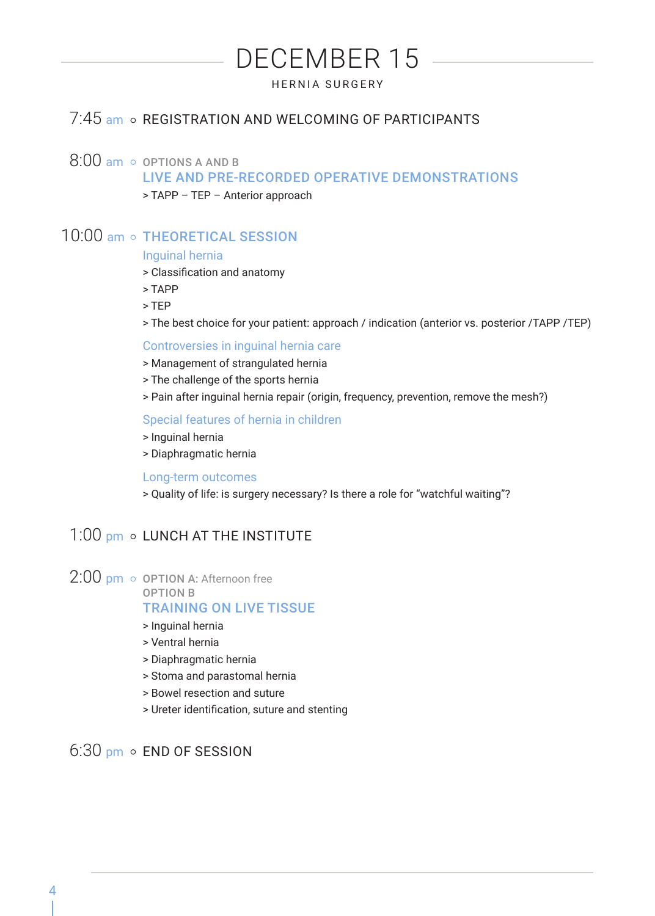# DECEMBER 15

HERNIA SURGERY

## 7:45 am o REGISTRATION AND WELCOMING OF PARTICIPANTS

## $8:00$  am  $\circ$  OPTIONS A AND B

LIVE AND PRE-RECORDED OPERATIVE DEMONSTRATIONS

> TAPP – TEP – Anterior approach

# 10:00 am o THEORETICAL SESSION

#### Inguinal hernia

- > Classification and anatomy
- > TAPP
- > TEP
- > The best choice for your patient: approach / indication (anterior vs. posterior /TAPP /TEP)

#### Controversies in inguinal hernia care

- > Management of strangulated hernia
- > The challenge of the sports hernia
- > Pain after inguinal hernia repair (origin, frequency, prevention, remove the mesh?)

#### Special features of hernia in children

- > Inguinal hernia
- > Diaphragmatic hernia

#### Long-term outcomes

> Quality of life: is surgery necessary? Is there a role for "watchful waiting"?

## $1:00$  pm  $\circ$  LUNCH AT THE INSTITUTE

- $2:00$  pm  $\circ$  OPTION A: Afternoon free
	- OPTION B

#### TRAINING ON LIVE TISSUE

- > Inguinal hernia
- > Ventral hernia
- > Diaphragmatic hernia
- > Stoma and parastomal hernia
- > Bowel resection and suture
- > Ureter identification, suture and stenting

## $6:30$  pm  $\circ$  FND OF SESSION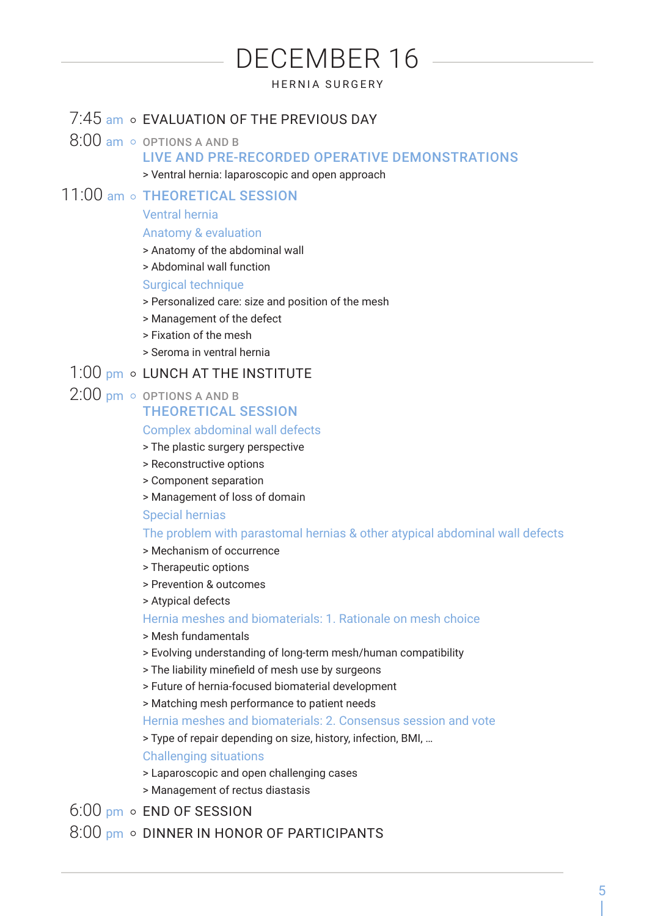# DECEMBER 16

## HERNIA SURGERY

## 7:45 am o EVALUATION OF THE PREVIOUS DAY

- $8:00$  am  $\circ$  options a and B LIVE AND PRE-RECORDED OPERATIVE DEMONSTRATIONS
	- > Ventral hernia: laparoscopic and open approach

## 11:00 am o THEORETICAL SESSION

## Ventral hernia

### Anatomy & evaluation

- > Anatomy of the abdominal wall
- > Abdominal wall function

Surgical technique

- > Personalized care: size and position of the mesh
- > Management of the defect
- > Fixation of the mesh
- > Seroma in ventral hernia

## 1:00 pm o LUNCH AT THE INSTITUTE

 $2:00$  pm  $\circ$  options a and B

## THEORETICAL SESSION

#### Complex abdominal wall defects

- > The plastic surgery perspective
- > Reconstructive options
- > Component separation
- > Management of loss of domain

#### Special hernias

## The problem with parastomal hernias & other atypical abdominal wall defects

- > Mechanism of occurrence
- > Therapeutic options
- > Prevention & outcomes
- > Atypical defects

### Hernia meshes and biomaterials: 1. Rationale on mesh choice

- > Mesh fundamentals
- > Evolving understanding of long-term mesh/human compatibility
- > The liability minefield of mesh use by surgeons
- > Future of hernia-focused biomaterial development

## > Matching mesh performance to patient needs

Hernia meshes and biomaterials: 2. Consensus session and vote

> Type of repair depending on size, history, infection, BMI, …

Challenging situations

- > Laparoscopic and open challenging cases
- > Management of rectus diastasis

 $6:00 \text{ nm}$  o FND OF SESSION

8:00 pm o DINNER IN HONOR OF PARTICIPANTS